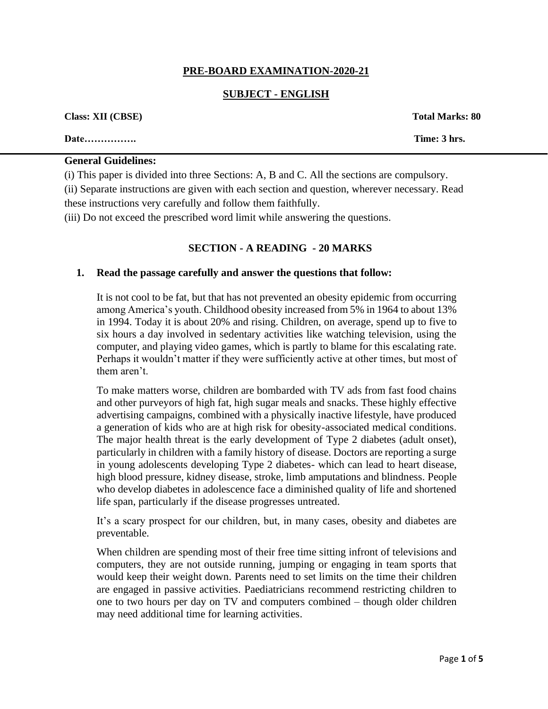## **PRE-BOARD EXAMINATION-2020-21**

## **SUBJECT - ENGLISH**

| <b>Class: XII (CBSE)</b> | <b>Total Marks: 80</b> |
|--------------------------|------------------------|
| <b>Date</b>              | Time: 3 hrs.           |

## **General Guidelines:**

(i) This paper is divided into three Sections: A, B and C. All the sections are compulsory.

(ii) Separate instructions are given with each section and question, wherever necessary. Read these instructions very carefully and follow them faithfully.

(iii) Do not exceed the prescribed word limit while answering the questions.

### **SECTION - A READING - 20 MARKS**

#### **1. Read the passage carefully and answer the questions that follow:**

It is not cool to be fat, but that has not prevented an obesity epidemic from occurring among America's youth. Childhood obesity increased from 5% in 1964 to about 13% in 1994. Today it is about 20% and rising. Children, on average, spend up to five to six hours a day involved in sedentary activities like watching television, using the computer, and playing video games, which is partly to blame for this escalating rate. Perhaps it wouldn't matter if they were sufficiently active at other times, but most of them aren't.

To make matters worse, children are bombarded with TV ads from fast food chains and other purveyors of high fat, high sugar meals and snacks. These highly effective advertising campaigns, combined with a physically inactive lifestyle, have produced a generation of kids who are at high risk for obesity-associated medical conditions. The major health threat is the early development of Type 2 diabetes (adult onset), particularly in children with a family history of disease. Doctors are reporting a surge in young adolescents developing Type 2 diabetes- which can lead to heart disease, high blood pressure, kidney disease, stroke, limb amputations and blindness. People who develop diabetes in adolescence face a diminished quality of life and shortened life span, particularly if the disease progresses untreated.

It's a scary prospect for our children, but, in many cases, obesity and diabetes are preventable.

When children are spending most of their free time sitting infront of televisions and computers, they are not outside running, jumping or engaging in team sports that would keep their weight down. Parents need to set limits on the time their children are engaged in passive activities. Paediatricians recommend restricting children to one to two hours per day on TV and computers combined – though older children may need additional time for learning activities.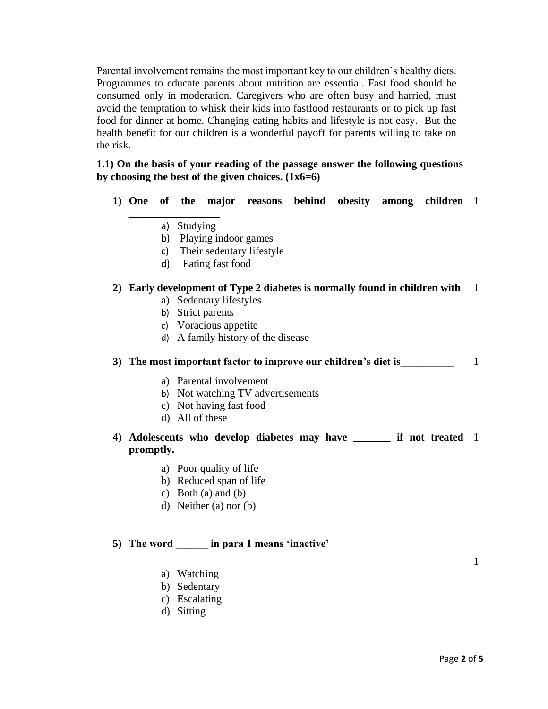Parental involvement remains the most important key to our children's healthy diets. Programmes to educate parents about nutrition are essential. Fast food should be consumed only in moderation. Caregivers who are often busy and harried, must avoid the temptation to whisk their kids into fastfood restaurants or to pick up fast food for dinner at home. Changing eating habits and lifestyle is not easy. But the health benefit for our children is a wonderful payoff for parents willing to take on the risk.

## **1.1) On the basis of your reading of the passage answer the following questions by choosing the best of the given choices. (1x6=6)**

- 1) One of the major reasons behind obesity among children 1
	- a) Studying

**\_\_\_\_\_\_\_\_\_\_\_\_\_\_\_\_\_** 

- b) Playing indoor games
- c) Their sedentary lifestyle
- d) Eating fast food

## **2) Early development of Type 2 diabetes is normally found in children with** 1

- a) Sedentary lifestyles
- b) Strict parents
- c) Voracious appetite
- d) A family history of the disease

## **3) The most important factor to improve our children's diet is\_\_\_\_\_\_\_\_\_\_** 1

- a) Parental involvement
- b) Not watching TV advertisements
- c) Not having fast food
- d) All of these

## **4) Adolescents who develop diabetes may have \_\_\_\_\_\_\_ if not treated**  1 **promptly.**

- a) Poor quality of life
- b) Reduced span of life
- c) Both (a) and (b)
- d) Neither (a) nor (b)

## **5) The word \_\_\_\_\_\_ in para 1 means 'inactive'**

- a) Watching
- b) Sedentary
- c) Escalating
- d) Sitting

1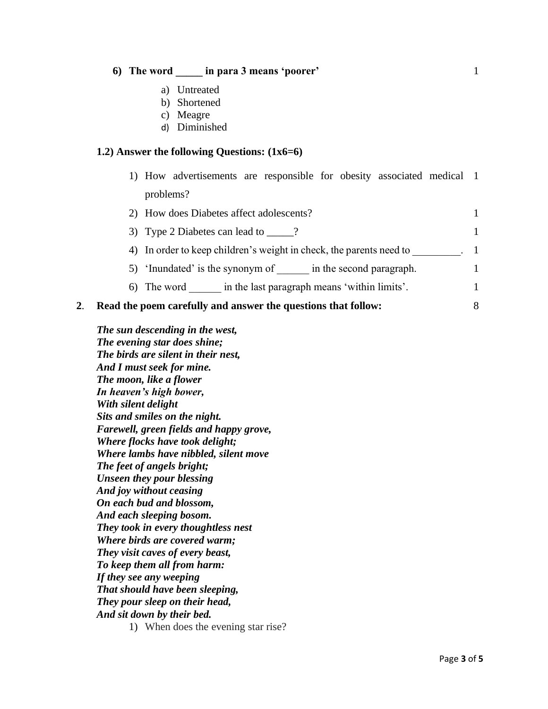#### **6) The word \_\_\_\_\_ in para 3 means 'poorer'** 1

- a) Untreated
- b) Shortened
- c) Meagre
- d) Diminished

#### **1.2) Answer the following Questions: (1x6=6)**

1) How advertisements are responsible for obesity associated medical 1 problems?

| 2) How does Diabetes affect adolescents?                            |  |
|---------------------------------------------------------------------|--|
| 3) Type 2 Diabetes can lead to _____?                               |  |
| 4) In order to keep children's weight in check, the parents need to |  |
| 5) 'Inundated' is the synonym of<br>in the second paragraph.        |  |
| in the last paragraph means 'within limits'.<br>6) The word         |  |
|                                                                     |  |

### **2**. **Read the poem carefully and answer the questions that follow:** 8

*The sun descending in the west, The evening star does shine; The birds are silent in their nest, And I must seek for mine. The moon, like a flower In heaven's high bower, With silent delight Sits and smiles on the night. Farewell, green fields and happy grove, Where flocks have took delight; Where lambs have nibbled, silent move The feet of angels bright; Unseen they pour blessing And joy without ceasing On each bud and blossom, And each sleeping bosom. They took in every thoughtless nest Where birds are covered warm; They visit caves of every beast, To keep them all from harm: If they see any weeping That should have been sleeping, They pour sleep on their head, And sit down by their bed.*

1) When does the evening star rise?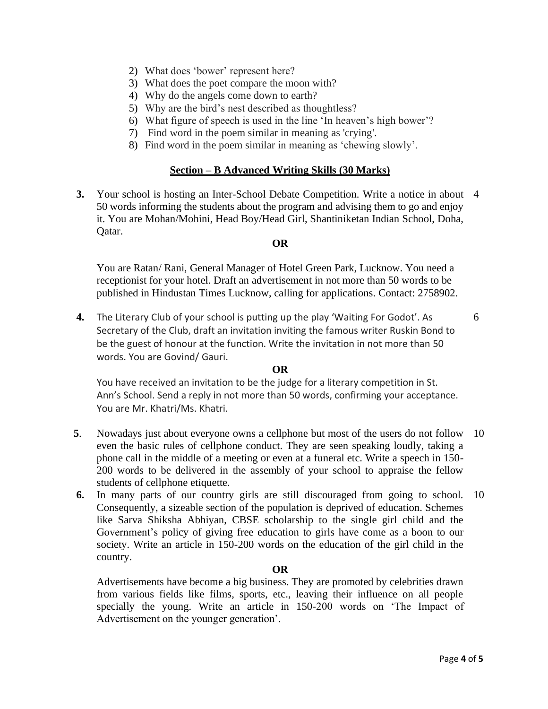- 2) What does 'bower' represent here?
- 3) What does the poet compare the moon with?
- 4) Why do the angels come down to earth?
- 5) Why are the bird's nest described as thoughtless?
- 6) What figure of speech is used in the line 'In heaven's high bower'?
- 7) Find word in the poem similar in meaning as 'crying'.
- 8) Find word in the poem similar in meaning as 'chewing slowly'.

### **Section – B Advanced Writing Skills (30 Marks)**

**3.** Your school is hosting an Inter-School Debate Competition. Write a notice in about 4 50 words informing the students about the program and advising them to go and enjoy it. You are Mohan/Mohini, Head Boy/Head Girl, Shantiniketan Indian School, Doha, Qatar.

### **OR**

You are Ratan/ Rani, General Manager of Hotel Green Park, Lucknow. You need a receptionist for your hotel. Draft an advertisement in not more than 50 words to be published in Hindustan Times Lucknow, calling for applications. Contact: 2758902.

**4.** The Literary Club of your school is putting up the play 'Waiting For Godot'. As Secretary of the Club, draft an invitation inviting the famous writer Ruskin Bond to be the guest of honour at the function. Write the invitation in not more than 50 words. You are Govind/ Gauri.

#### **OR**

You have received an invitation to be the judge for a literary competition in St. Ann's School. Send a reply in not more than 50 words, confirming your acceptance. You are Mr. Khatri/Ms. Khatri.

- **5**. Nowadays just about everyone owns a cellphone but most of the users do not follow even the basic rules of cellphone conduct. They are seen speaking loudly, taking a phone call in the middle of a meeting or even at a funeral etc. Write a speech in 150- 200 words to be delivered in the assembly of your school to appraise the fellow students of cellphone etiquette. 10
- **6.** In many parts of our country girls are still discouraged from going to school. Consequently, a sizeable section of the population is deprived of education. Schemes like Sarva Shiksha Abhiyan, CBSE scholarship to the single girl child and the Government's policy of giving free education to girls have come as a boon to our society. Write an article in 150-200 words on the education of the girl child in the country. 10

#### **OR**

Advertisements have become a big business. They are promoted by celebrities drawn from various fields like films, sports, etc., leaving their influence on all people specially the young. Write an article in 150-200 words on 'The Impact of Advertisement on the younger generation'.

6